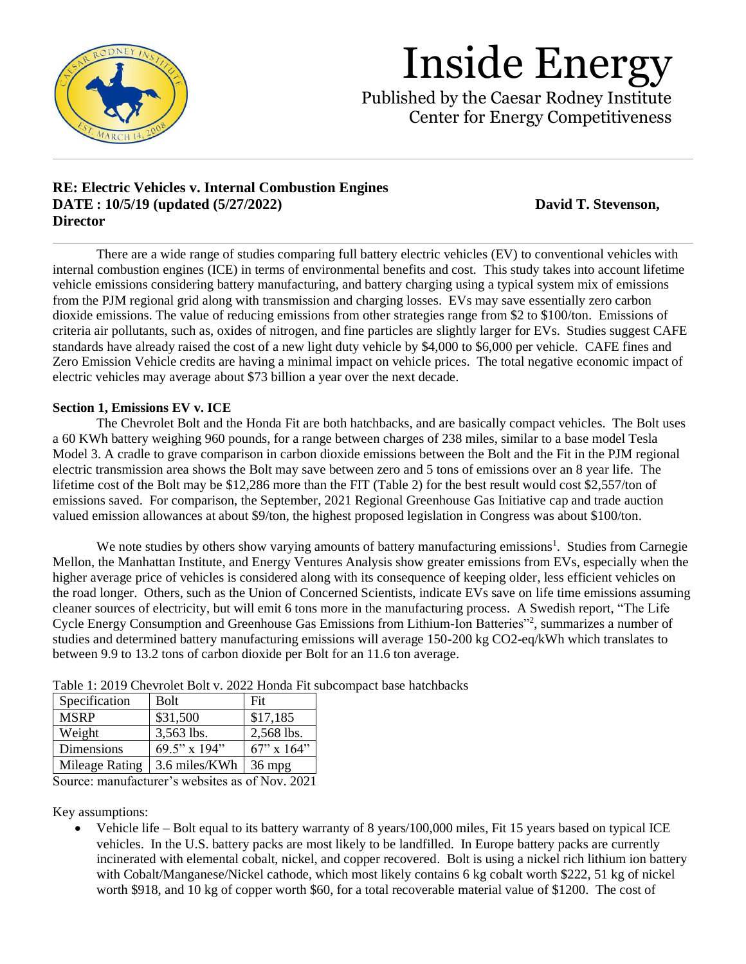

Published by the Caesar Rodney Institute Center for Energy Competitiveness

### **RE: Electric Vehicles v. Internal Combustion Engines DATE : 10/5/19** (updated (5/27/2022) **David T. Stevenson, Director**

There are a wide range of studies comparing full battery electric vehicles (EV) to conventional vehicles with internal combustion engines (ICE) in terms of environmental benefits and cost. This study takes into account lifetime vehicle emissions considering battery manufacturing, and battery charging using a typical system mix of emissions from the PJM regional grid along with transmission and charging losses. EVs may save essentially zero carbon dioxide emissions. The value of reducing emissions from other strategies range from \$2 to \$100/ton. Emissions of criteria air pollutants, such as, oxides of nitrogen, and fine particles are slightly larger for EVs. Studies suggest CAFE standards have already raised the cost of a new light duty vehicle by \$4,000 to \$6,000 per vehicle. CAFE fines and Zero Emission Vehicle credits are having a minimal impact on vehicle prices. The total negative economic impact of electric vehicles may average about \$73 billion a year over the next decade.

### **Section 1, Emissions EV v. ICE**

The Chevrolet Bolt and the Honda Fit are both hatchbacks, and are basically compact vehicles. The Bolt uses a 60 KWh battery weighing 960 pounds, for a range between charges of 238 miles, similar to a base model Tesla Model 3. A cradle to grave comparison in carbon dioxide emissions between the Bolt and the Fit in the PJM regional electric transmission area shows the Bolt may save between zero and 5 tons of emissions over an 8 year life. The lifetime cost of the Bolt may be \$12,286 more than the FIT (Table 2) for the best result would cost \$2,557/ton of emissions saved. For comparison, the September, 2021 Regional Greenhouse Gas Initiative cap and trade auction valued emission allowances at about \$9/ton, the highest proposed legislation in Congress was about \$100/ton.

We note studies by others show varying amounts of battery manufacturing emissions<sup>1</sup>. Studies from Carnegie Mellon, the Manhattan Institute, and Energy Ventures Analysis show greater emissions from EVs, especially when the higher average price of vehicles is considered along with its consequence of keeping older, less efficient vehicles on the road longer. Others, such as the Union of Concerned Scientists, indicate EVs save on life time emissions assuming cleaner sources of electricity, but will emit 6 tons more in the manufacturing process. A Swedish report, "The Life Cycle Energy Consumption and Greenhouse Gas Emissions from Lithium-Ion Batteries"<sup>2</sup>, summarizes a number of studies and determined battery manufacturing emissions will average 150-200 kg CO2-eq/kWh which translates to between 9.9 to 13.2 tons of carbon dioxide per Bolt for an 11.6 ton average.

| 1 acis 11 2017 Chenciolet Don 11 2022 1100 an 1100 |                 |                  |  |  |
|----------------------------------------------------|-----------------|------------------|--|--|
| Specification                                      | Bolt            | Fit              |  |  |
| <b>MSRP</b>                                        | \$31,500        | \$17,185         |  |  |
| Weight                                             | 3,563 lbs.      | 2,568 lbs.       |  |  |
| Dimensions                                         | $69.5$ " x 194" | $67$ " x $164$ " |  |  |
| <b>Mileage Rating</b>                              | 3.6 miles/KWh   | $36 \text{ mpg}$ |  |  |

Table 1: 2019 Chevrolet Bolt v. 2022 Honda Fit subcompact base hatchbacks

Source: manufacturer's websites as of Nov. 2021

Key assumptions:

• Vehicle life – Bolt equal to its battery warranty of 8 years/100,000 miles, Fit 15 years based on typical ICE vehicles. In the U.S. battery packs are most likely to be landfilled. In Europe battery packs are currently incinerated with elemental cobalt, nickel, and copper recovered. Bolt is using a nickel rich lithium ion battery with Cobalt/Manganese/Nickel cathode, which most likely contains 6 kg cobalt worth \$222, 51 kg of nickel worth \$918, and 10 kg of copper worth \$60, for a total recoverable material value of \$1200. The cost of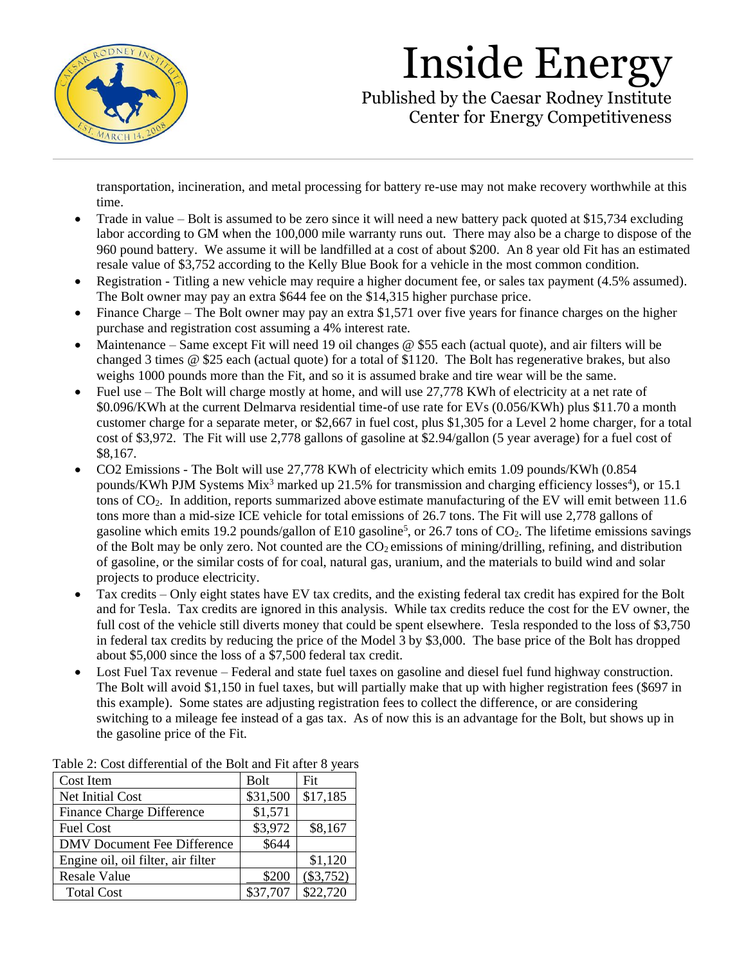

Published by the Caesar Rodney Institute Center for Energy Competitiveness

transportation, incineration, and metal processing for battery re-use may not make recovery worthwhile at this time.

- Trade in value Bolt is assumed to be zero since it will need a new battery pack quoted at \$15,734 excluding labor according to GM when the 100,000 mile warranty runs out. There may also be a charge to dispose of the 960 pound battery. We assume it will be landfilled at a cost of about \$200. An 8 year old Fit has an estimated resale value of \$3,752 according to the Kelly Blue Book for a vehicle in the most common condition.
- Registration Titling a new vehicle may require a higher document fee, or sales tax payment (4.5% assumed). The Bolt owner may pay an extra \$644 fee on the \$14,315 higher purchase price.
- Finance Charge The Bolt owner may pay an extra \$1,571 over five years for finance charges on the higher purchase and registration cost assuming a 4% interest rate.
- Maintenance Same except Fit will need 19 oil changes @ \$55 each (actual quote), and air filters will be changed 3 times @ \$25 each (actual quote) for a total of \$1120. The Bolt has regenerative brakes, but also weighs 1000 pounds more than the Fit, and so it is assumed brake and tire wear will be the same.
- Fuel use The Bolt will charge mostly at home, and will use 27,778 KWh of electricity at a net rate of \$0.096/KWh at the current Delmarva residential time-of use rate for EVs (0.056/KWh) plus \$11.70 a month customer charge for a separate meter, or \$2,667 in fuel cost, plus \$1,305 for a Level 2 home charger, for a total cost of \$3,972. The Fit will use 2,778 gallons of gasoline at \$2.94/gallon (5 year average) for a fuel cost of \$8,167.
- CO2 Emissions The Bolt will use 27,778 KWh of electricity which emits 1.09 pounds/KWh (0.854 pounds/KWh PJM Systems Mix<sup>3</sup> marked up 21.5% for transmission and charging efficiency losses<sup>4</sup>), or 15.1 tons of  $CO<sub>2</sub>$ . In addition, reports summarized above estimate manufacturing of the EV will emit between 11.6 tons more than a mid-size ICE vehicle for total emissions of 26.7 tons. The Fit will use 2,778 gallons of gasoline which emits 19.2 pounds/gallon of E10 gasoline<sup>5</sup>, or 26.7 tons of  $CO<sub>2</sub>$ . The lifetime emissions savings of the Bolt may be only zero. Not counted are the  $CO<sub>2</sub>$  emissions of mining/drilling, refining, and distribution of gasoline, or the similar costs of for coal, natural gas, uranium, and the materials to build wind and solar projects to produce electricity.
- Tax credits Only eight states have EV tax credits, and the existing federal tax credit has expired for the Bolt and for Tesla. Tax credits are ignored in this analysis. While tax credits reduce the cost for the EV owner, the full cost of the vehicle still diverts money that could be spent elsewhere. Tesla responded to the loss of \$3,750 in federal tax credits by reducing the price of the Model 3 by \$3,000. The base price of the Bolt has dropped about \$5,000 since the loss of a \$7,500 federal tax credit.
- Lost Fuel Tax revenue Federal and state fuel taxes on gasoline and diesel fuel fund highway construction. The Bolt will avoid \$1,150 in fuel taxes, but will partially make that up with higher registration fees (\$697 in this example). Some states are adjusting registration fees to collect the difference, or are considering switching to a mileage fee instead of a gas tax. As of now this is an advantage for the Bolt, but shows up in the gasoline price of the Fit.

| Cost Item                          | <b>Bolt</b> | Fit         |  |  |
|------------------------------------|-------------|-------------|--|--|
| Net Initial Cost                   | \$31,500    | \$17,185    |  |  |
| Finance Charge Difference          | \$1,571     |             |  |  |
| <b>Fuel Cost</b>                   | \$3,972     | \$8,167     |  |  |
| <b>DMV Document Fee Difference</b> | \$644       |             |  |  |
| Engine oil, oil filter, air filter |             | \$1,120     |  |  |
| <b>Resale Value</b>                | \$200       | $(\$3,752)$ |  |  |
| <b>Total Cost</b>                  | \$37,707    | \$22,720    |  |  |

Table 2: Cost differential of the Bolt and Fit after 8 years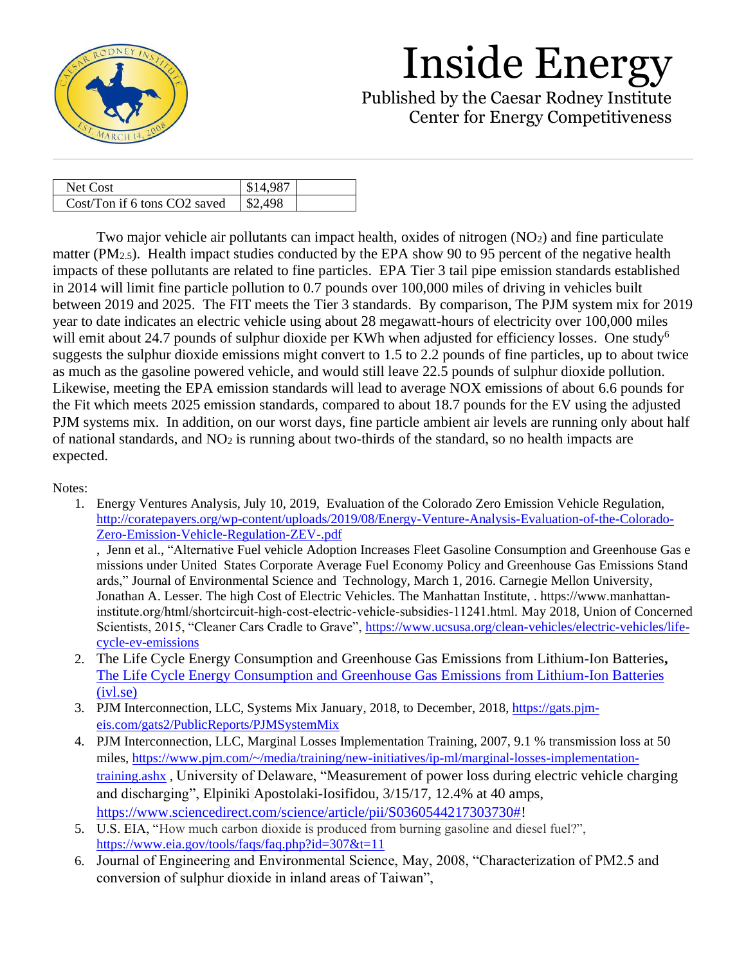

Published by the Caesar Rodney Institute Center for Energy Competitiveness

| Net Cost                     | \$14,987 |  |
|------------------------------|----------|--|
| Cost/Ton if 6 tons CO2 saved | \$2.498  |  |

Two major vehicle air pollutants can impact health, oxides of nitrogen  $(NO<sub>2</sub>)$  and fine particulate matter (PM<sub>2.5</sub>). Health impact studies conducted by the EPA show 90 to 95 percent of the negative health impacts of these pollutants are related to fine particles. EPA Tier 3 tail pipe emission standards established in 2014 will limit fine particle pollution to 0.7 pounds over 100,000 miles of driving in vehicles built between 2019 and 2025. The FIT meets the Tier 3 standards. By comparison, The PJM system mix for 2019 year to date indicates an electric vehicle using about 28 megawatt-hours of electricity over 100,000 miles will emit about 24.7 pounds of sulphur dioxide per KWh when adjusted for efficiency losses. One study<sup>6</sup> suggests the sulphur dioxide emissions might convert to 1.5 to 2.2 pounds of fine particles, up to about twice as much as the gasoline powered vehicle, and would still leave 22.5 pounds of sulphur dioxide pollution. Likewise, meeting the EPA emission standards will lead to average NOX emissions of about 6.6 pounds for the Fit which meets 2025 emission standards, compared to about 18.7 pounds for the EV using the adjusted PJM systems mix. In addition, on our worst days, fine particle ambient air levels are running only about half of national standards, and NO<sup>2</sup> is running about two-thirds of the standard, so no health impacts are expected.

Notes:

1. Energy Ventures Analysis, July 10, 2019, Evaluation of the Colorado Zero Emission Vehicle Regulation, [http://coratepayers.org/wp-content/uploads/2019/08/Energy-Venture-Analysis-Evaluation-of-the-Colorado-](http://coratepayers.org/wp-content/uploads/2019/08/Energy-Venture-Analysis-Evaluation-of-the-Colorado-Zero-Emission-Vehicle-Regulation-ZEV-.pdf)[Zero-Emission-Vehicle-Regulation-ZEV-.pdf](http://coratepayers.org/wp-content/uploads/2019/08/Energy-Venture-Analysis-Evaluation-of-the-Colorado-Zero-Emission-Vehicle-Regulation-ZEV-.pdf)

, Jenn et al., "Alternative Fuel vehicle Adoption Increases Fleet Gasoline Consumption and Greenhouse Gas e missions under United States Corporate Average Fuel Economy Policy and Greenhouse Gas Emissions Stand ards," Journal of Environmental Science and Technology, March 1, 2016. Carnegie Mellon University, Jonathan A. Lesser. The high Cost of Electric Vehicles. The Manhattan Institute, . https://www.manhattan‐ institute.org/html/shortcircuit‐high‐cost‐electric‐vehicle‐subsidies‐11241.html. May 2018, Union of Concerned Scientists, 2015, "Cleaner Cars Cradle to Grave", [https://www.ucsusa.org/clean-vehicles/electric-vehicles/life](https://www.ucsusa.org/clean-vehicles/electric-vehicles/life-cycle-ev-emissions)[cycle-ev-emissions](https://www.ucsusa.org/clean-vehicles/electric-vehicles/life-cycle-ev-emissions)

- 2. The Life Cycle Energy Consumption and Greenhouse Gas Emissions from Lithium-Ion Batteries**,**  [The Life Cycle Energy Consumption and Greenhouse Gas Emissions from Lithium-Ion Batteries](https://www.ivl.se/download/18.5922281715bdaebede95a9/1496136143435/C243.pdf)  [\(ivl.se\)](https://www.ivl.se/download/18.5922281715bdaebede95a9/1496136143435/C243.pdf)
- 3. PJM Interconnection, LLC, Systems Mix January, 2018, to December, 2018, [https://gats.pjm](https://gats.pjm-eis.com/gats2/PublicReports/PJMSystemMix)[eis.com/gats2/PublicReports/PJMSystemMix](https://gats.pjm-eis.com/gats2/PublicReports/PJMSystemMix)
- 4. PJM Interconnection, LLC, Marginal Losses Implementation Training, 2007, 9.1 % transmission loss at 50 miles, [https://www.pjm.com/~/media/training/new-initiatives/ip-ml/marginal-losses-implementation](https://www.pjm.com/~/media/training/new-initiatives/ip-ml/marginal-losses-implementation-training.ashx)[training.ashx](https://www.pjm.com/~/media/training/new-initiatives/ip-ml/marginal-losses-implementation-training.ashx) , University of Delaware, "Measurement of power loss during electric vehicle charging and discharging", Elpiniki Apostolaki-Iosifidou, 3/15/17, 12.4% at 40 amps, [https://www.sciencedirect.com/science/article/pii/S0360544217303730#!](https://www.sciencedirect.com/science/article/pii/S0360544217303730)
- 5. U.S. EIA, "How much carbon dioxide is produced from burning gasoline and diesel fuel?", <https://www.eia.gov/tools/faqs/faq.php?id=307&t=11>
- 6. Journal of Engineering and Environmental Science, May, 2008, "Characterization of PM2.5 and conversion of sulphur dioxide in inland areas of Taiwan",